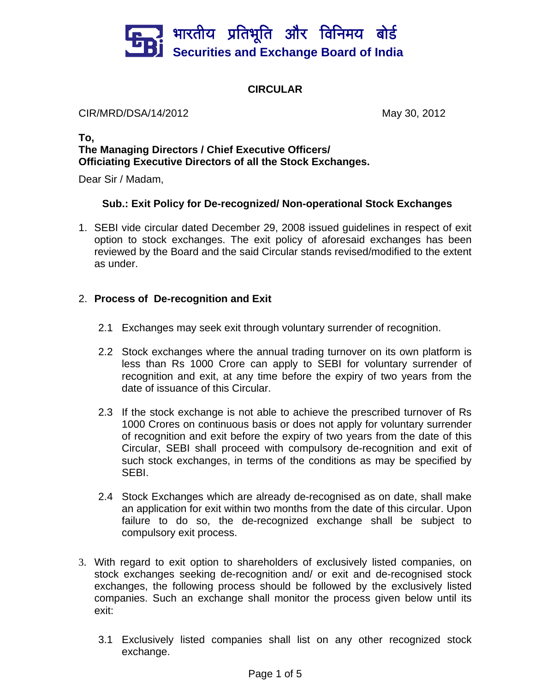

# **CIRCULAR**

CIR/MRD/DSA/14/2012 May 30, 2012

## **To, The Managing Directors / Chief Executive Officers/ Officiating Executive Directors of all the Stock Exchanges.**

Dear Sir / Madam,

## **Sub.: Exit Policy for De-recognized/ Non-operational Stock Exchanges**

1. SEBI vide circular dated December 29, 2008 issued guidelines in respect of exit option to stock exchanges. The exit policy of aforesaid exchanges has been reviewed by the Board and the said Circular stands revised/modified to the extent as under.

# 2. **Process of De-recognition and Exit**

- 2.1 Exchanges may seek exit through voluntary surrender of recognition.
- 2.2 Stock exchanges where the annual trading turnover on its own platform is less than Rs 1000 Crore can apply to SEBI for voluntary surrender of recognition and exit, at any time before the expiry of two years from the date of issuance of this Circular.
- 2.3 If the stock exchange is not able to achieve the prescribed turnover of Rs 1000 Crores on continuous basis or does not apply for voluntary surrender of recognition and exit before the expiry of two years from the date of this Circular, SEBI shall proceed with compulsory de-recognition and exit of such stock exchanges, in terms of the conditions as may be specified by SEBI.
- 2.4 Stock Exchanges which are already de-recognised as on date, shall make an application for exit within two months from the date of this circular. Upon failure to do so, the de-recognized exchange shall be subject to compulsory exit process.
- 3. With regard to exit option to shareholders of exclusively listed companies, on stock exchanges seeking de-recognition and/ or exit and de-recognised stock exchanges, the following process should be followed by the exclusively listed companies. Such an exchange shall monitor the process given below until its exit:
	- 3.1 Exclusively listed companies shall list on any other recognized stock exchange.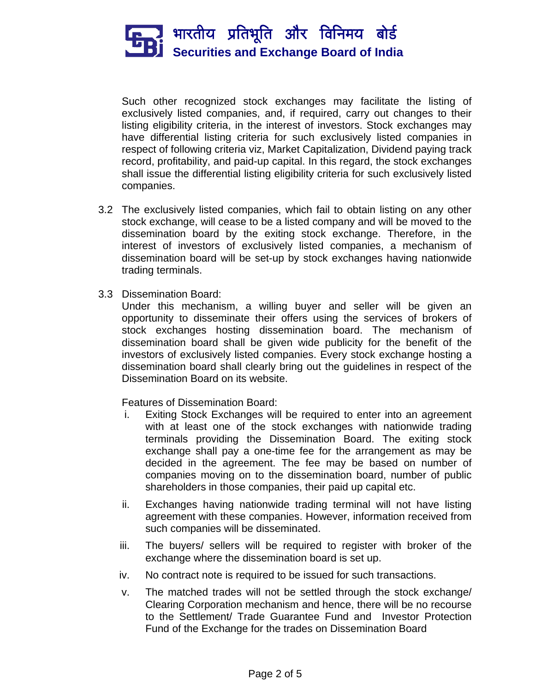

Such other recognized stock exchanges may facilitate the listing of exclusively listed companies, and, if required, carry out changes to their listing eligibility criteria, in the interest of investors. Stock exchanges may have differential listing criteria for such exclusively listed companies in respect of following criteria viz, Market Capitalization, Dividend paying track record, profitability, and paid-up capital. In this regard, the stock exchanges shall issue the differential listing eligibility criteria for such exclusively listed companies.

- 3.2 The exclusively listed companies, which fail to obtain listing on any other stock exchange, will cease to be a listed company and will be moved to the dissemination board by the exiting stock exchange. Therefore, in the interest of investors of exclusively listed companies, a mechanism of dissemination board will be set-up by stock exchanges having nationwide trading terminals.
- 3.3 Dissemination Board:

Under this mechanism, a willing buyer and seller will be given an opportunity to disseminate their offers using the services of brokers of stock exchanges hosting dissemination board. The mechanism of dissemination board shall be given wide publicity for the benefit of the investors of exclusively listed companies. Every stock exchange hosting a dissemination board shall clearly bring out the guidelines in respect of the Dissemination Board on its website.

Features of Dissemination Board:

- i. Exiting Stock Exchanges will be required to enter into an agreement with at least one of the stock exchanges with nationwide trading terminals providing the Dissemination Board. The exiting stock exchange shall pay a one-time fee for the arrangement as may be decided in the agreement. The fee may be based on number of companies moving on to the dissemination board, number of public shareholders in those companies, their paid up capital etc.
- ii. Exchanges having nationwide trading terminal will not have listing agreement with these companies. However, information received from such companies will be disseminated.
- iii. The buyers/ sellers will be required to register with broker of the exchange where the dissemination board is set up.
- iv. No contract note is required to be issued for such transactions.
- v. The matched trades will not be settled through the stock exchange/ Clearing Corporation mechanism and hence, there will be no recourse to the Settlement/ Trade Guarantee Fund and Investor Protection Fund of the Exchange for the trades on Dissemination Board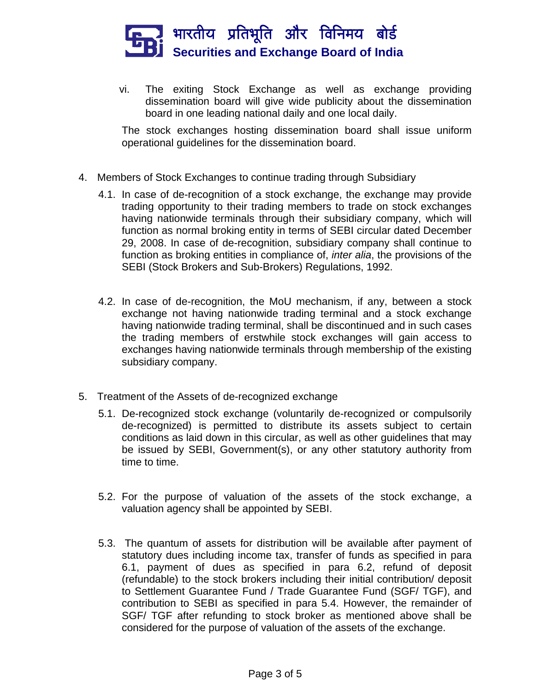

vi. The exiting Stock Exchange as well as exchange providing dissemination board will give wide publicity about the dissemination board in one leading national daily and one local daily.

The stock exchanges hosting dissemination board shall issue uniform operational guidelines for the dissemination board.

- 4. Members of Stock Exchanges to continue trading through Subsidiary
	- 4.1. In case of de-recognition of a stock exchange, the exchange may provide trading opportunity to their trading members to trade on stock exchanges having nationwide terminals through their subsidiary company, which will function as normal broking entity in terms of SEBI circular dated December 29, 2008. In case of de-recognition, subsidiary company shall continue to function as broking entities in compliance of, *inter alia*, the provisions of the SEBI (Stock Brokers and Sub-Brokers) Regulations, 1992.
	- 4.2. In case of de-recognition, the MoU mechanism, if any, between a stock exchange not having nationwide trading terminal and a stock exchange having nationwide trading terminal, shall be discontinued and in such cases the trading members of erstwhile stock exchanges will gain access to exchanges having nationwide terminals through membership of the existing subsidiary company.
- 5. Treatment of the Assets of de-recognized exchange
	- 5.1. De-recognized stock exchange (voluntarily de-recognized or compulsorily de-recognized) is permitted to distribute its assets subject to certain conditions as laid down in this circular, as well as other guidelines that may be issued by SEBI, Government(s), or any other statutory authority from time to time.
	- 5.2. For the purpose of valuation of the assets of the stock exchange, a valuation agency shall be appointed by SEBI.
	- 5.3. The quantum of assets for distribution will be available after payment of statutory dues including income tax, transfer of funds as specified in para 6.1, payment of dues as specified in para 6.2, refund of deposit (refundable) to the stock brokers including their initial contribution/ deposit to Settlement Guarantee Fund / Trade Guarantee Fund (SGF/ TGF), and contribution to SEBI as specified in para 5.4. However, the remainder of SGF/ TGF after refunding to stock broker as mentioned above shall be considered for the purpose of valuation of the assets of the exchange.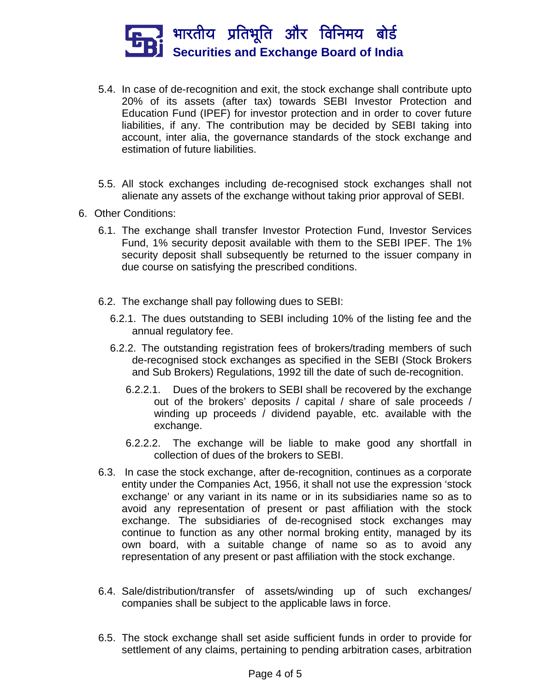

- 5.4. In case of de-recognition and exit, the stock exchange shall contribute upto 20% of its assets (after tax) towards SEBI Investor Protection and Education Fund (IPEF) for investor protection and in order to cover future liabilities, if any. The contribution may be decided by SEBI taking into account, inter alia, the governance standards of the stock exchange and estimation of future liabilities.
- 5.5. All stock exchanges including de-recognised stock exchanges shall not alienate any assets of the exchange without taking prior approval of SEBI.
- 6. Other Conditions:
	- 6.1. The exchange shall transfer Investor Protection Fund, Investor Services Fund, 1% security deposit available with them to the SEBI IPEF. The 1% security deposit shall subsequently be returned to the issuer company in due course on satisfying the prescribed conditions.
	- 6.2. The exchange shall pay following dues to SEBI:
		- 6.2.1. The dues outstanding to SEBI including 10% of the listing fee and the annual regulatory fee.
		- 6.2.2. The outstanding registration fees of brokers/trading members of such de-recognised stock exchanges as specified in the SEBI (Stock Brokers and Sub Brokers) Regulations, 1992 till the date of such de-recognition.
			- 6.2.2.1. Dues of the brokers to SEBI shall be recovered by the exchange out of the brokers' deposits / capital / share of sale proceeds / winding up proceeds / dividend payable, etc. available with the exchange.
			- 6.2.2.2. The exchange will be liable to make good any shortfall in collection of dues of the brokers to SEBI.
	- 6.3. In case the stock exchange, after de-recognition, continues as a corporate entity under the Companies Act, 1956, it shall not use the expression 'stock exchange' or any variant in its name or in its subsidiaries name so as to avoid any representation of present or past affiliation with the stock exchange. The subsidiaries of de-recognised stock exchanges may continue to function as any other normal broking entity, managed by its own board, with a suitable change of name so as to avoid any representation of any present or past affiliation with the stock exchange.
	- 6.4. Sale/distribution/transfer of assets/winding up of such exchanges/ companies shall be subject to the applicable laws in force.
	- 6.5. The stock exchange shall set aside sufficient funds in order to provide for settlement of any claims, pertaining to pending arbitration cases, arbitration